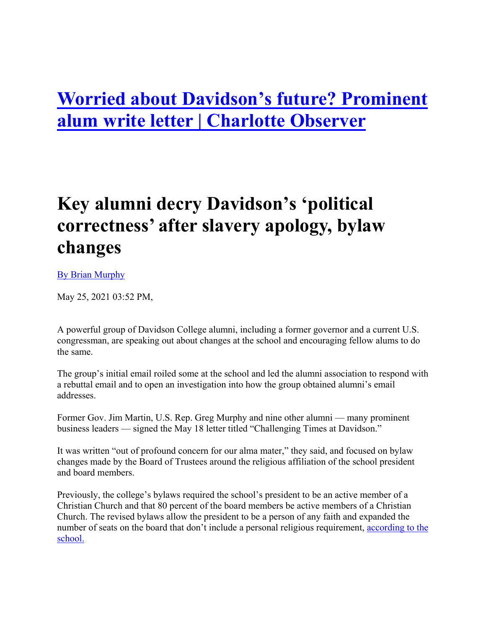# **Worried about Davidson's future? Prominent alum write letter | Charlotte Observer**

# **Key alumni decry Davidson's 'political correctness' after slavery apology, bylaw changes**

#### [By Brian Murphy](mailto:bmurphy@mcclatchydc.com)

May 25, 2021 03:52 PM,

A powerful group of Davidson College alumni, including a former governor and a current U.S. congressman, are speaking out about changes at the school and encouraging fellow alums to do the same.

The group's initial email roiled some at the school and led the alumni association to respond with a rebuttal email and to open an investigation into how the group obtained alumni's email addresses.

Former Gov. Jim Martin, U.S. Rep. Greg Murphy and nine other alumni — many prominent business leaders — signed the May 18 letter titled "Challenging Times at Davidson."

It was written "out of profound concern for our alma mater," they said, and focused on bylaw changes made by the Board of Trustees around the religious affiliation of the school president and board members.

Previously, the college's bylaws required the school's president to be an active member of a Christian Church and that 80 percent of the board members be active members of a Christian Church. The revised bylaws allow the president to be a person of any faith and expanded the number of seats on the board that don't include a personal religious requirement, according to the [school.](https://www.davidson.edu/news/2021/01/28/trustees-approve-changes-bylaws)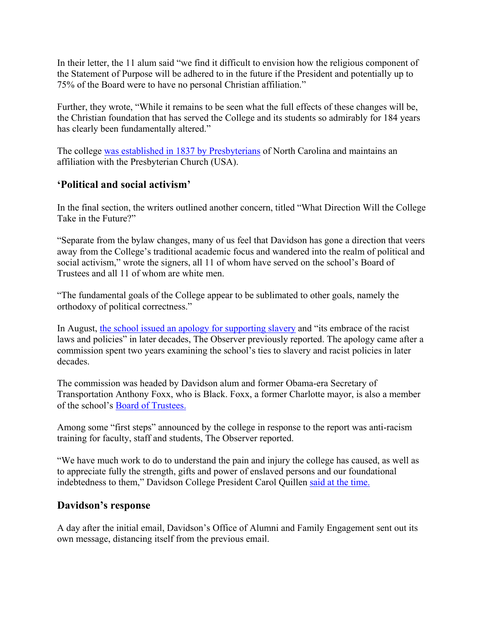In their letter, the 11 alum said "we find it difficult to envision how the religious component of the Statement of Purpose will be adhered to in the future if the President and potentially up to 75% of the Board were to have no personal Christian affiliation."

Further, they wrote, "While it remains to be seen what the full effects of these changes will be, the Christian foundation that has served the College and its students so admirably for 184 years has clearly been fundamentally altered."

The college [was established in 1837 by Presbyterians](https://www.davidson.edu/about/history-traditions) of North Carolina and maintains an affiliation with the Presbyterian Church (USA).

### **'Political and social activism'**

In the final section, the writers outlined another concern, titled "What Direction Will the College Take in the Future?"

"Separate from the bylaw changes, many of us feel that Davidson has gone a direction that veers away from the College's traditional academic focus and wandered into the realm of political and social activism," wrote the signers, all 11 of whom have served on the school's Board of Trustees and all 11 of whom are white men.

"The fundamental goals of the College appear to be sublimated to other goals, namely the orthodoxy of political correctness."

In August, [the school issued an apology for supporting slavery](https://www.charlotteobserver.com/news/local/article245047155.html) and "its embrace of the racist laws and policies" in later decades, The Observer previously reported. The apology came after a commission spent two years examining the school's ties to slavery and racist policies in later decades.

The commission was headed by Davidson alum and former Obama-era Secretary of Transportation Anthony Foxx, who is Black. Foxx, a former Charlotte mayor, is also a member of the school's [Board of Trustees.](https://www.davidson.edu/about/leadership/board-trustees)

Among some "first steps" announced by the college in response to the report was anti-racism training for faculty, staff and students, The Observer reported.

"We have much work to do to understand the pain and injury the college has caused, as well as to appreciate fully the strength, gifts and power of enslaved persons and our foundational indebtedness to them," Davidson College President Carol Quillen [said at the time.](https://www.youtube.com/watch?v=M854i7Ck5a4)

### **Davidson's response**

A day after the initial email, Davidson's Office of Alumni and Family Engagement sent out its own message, distancing itself from the previous email.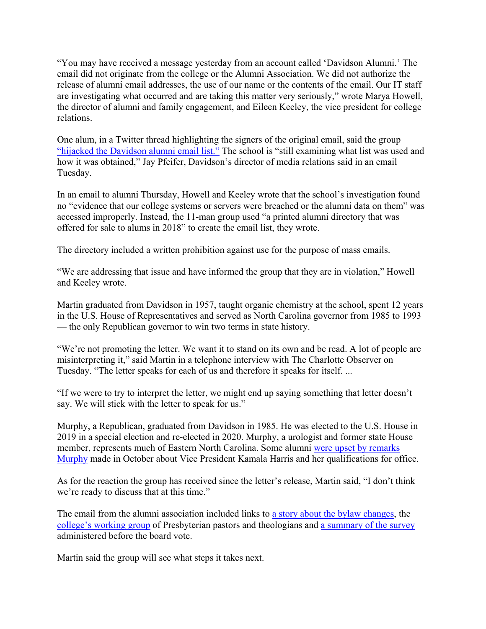"You may have received a message yesterday from an account called 'Davidson Alumni.' The email did not originate from the college or the Alumni Association. We did not authorize the release of alumni email addresses, the use of our name or the contents of the email. Our IT staff are investigating what occurred and are taking this matter very seriously," wrote Marya Howell, the director of alumni and family engagement, and Eileen Keeley, the vice president for college relations.

One alum, in a Twitter thread highlighting the signers of the original email, said the group ["hijacked the Davidson alumni email list."](https://twitter.com/DavidDTSS/status/1395074110829600774?s=20) The school is "still examining what list was used and how it was obtained," Jay Pfeifer, Davidson's director of media relations said in an email Tuesday.

In an email to alumni Thursday, Howell and Keeley wrote that the school's investigation found no "evidence that our college systems or servers were breached or the alumni data on them" was accessed improperly. Instead, the 11-man group used "a printed alumni directory that was offered for sale to alums in 2018" to create the email list, they wrote.

The directory included a written prohibition against use for the purpose of mass emails.

"We are addressing that issue and have informed the group that they are in violation," Howell and Keeley wrote.

Martin graduated from Davidson in 1957, taught organic chemistry at the school, spent 12 years in the U.S. House of Representatives and served as North Carolina governor from 1985 to 1993 — the only Republican governor to win two terms in state history.

"We're not promoting the letter. We want it to stand on its own and be read. A lot of people are misinterpreting it," said Martin in a telephone interview with The Charlotte Observer on Tuesday. "The letter speaks for each of us and therefore it speaks for itself. ...

"If we were to try to interpret the letter, we might end up saying something that letter doesn't say. We will stick with the letter to speak for us."

Murphy, a Republican, graduated from Davidson in 1985. He was elected to the U.S. House in 2019 in a special election and re-elected in 2020. Murphy, a urologist and former state House member, represents much of Eastern North Carolina. Some alumni [were upset by remarks](https://www.charlotteobserver.com/news/politics-government/article246577078.html)  [Murphy](https://www.charlotteobserver.com/news/politics-government/article246577078.html) made in October about Vice President Kamala Harris and her qualifications for office.

As for the reaction the group has received since the letter's release, Martin said, "I don't think we're ready to discuss that at this time."

The email from the alumni association included links to [a story about the bylaw changes,](https://www.davidson.edu/news/2021/01/28/trustees-approve-changes-bylaws) the [college's working group](https://www.davidson.edu/about/history-traditions/reformed-tradition) of Presbyterian pastors and theologians and [a summary of the survey](https://community.davidson.edu/file/college-enews/Bylaws-Survey-Summary-final.pdf?erid=4c209e79-f67b-4e13-a231-af9f9a679835&trid=4c209e79-f67b-4e13-a231-af9f9a679835) administered before the board vote.

Martin said the group will see what steps it takes next.